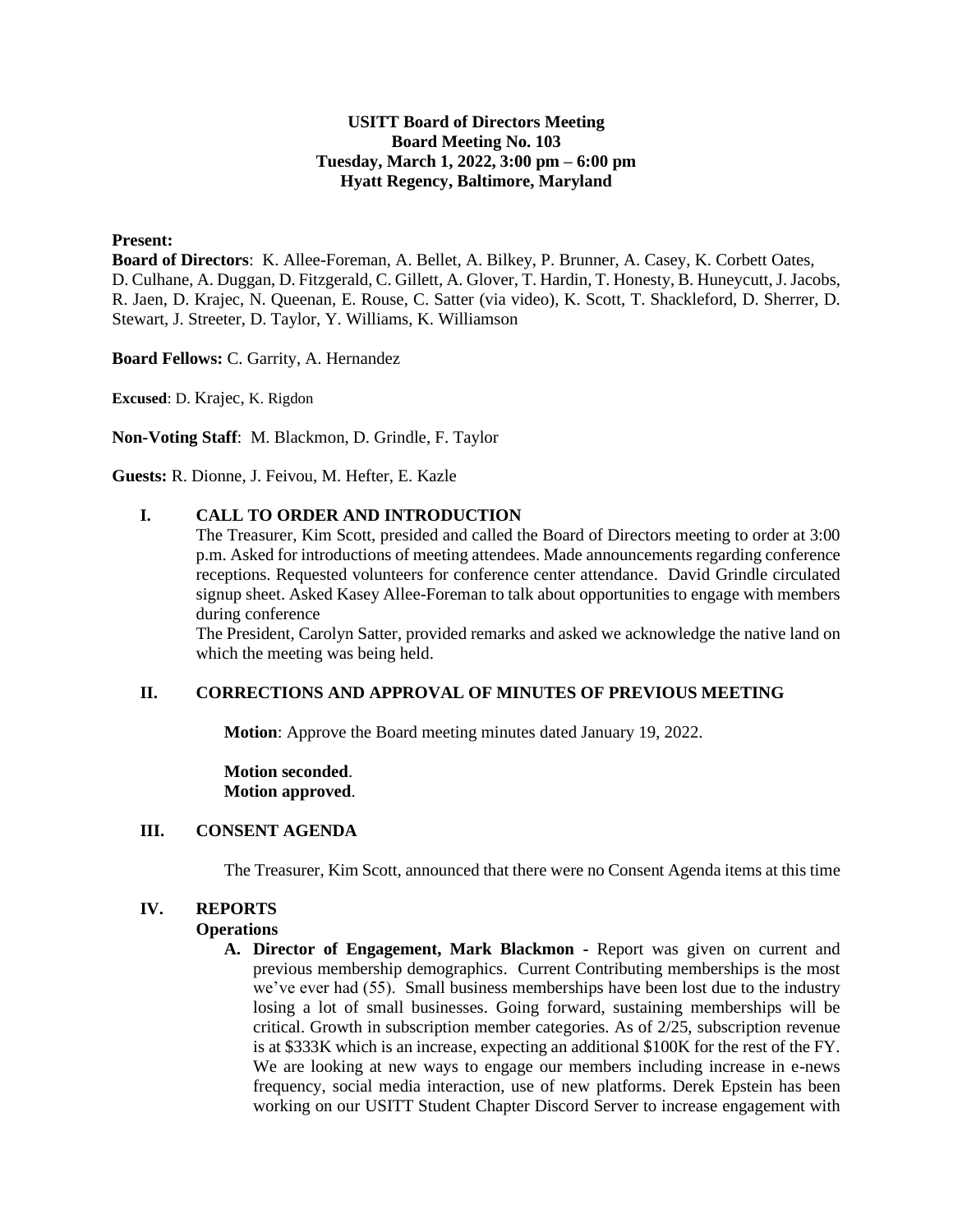### **USITT Board of Directors Meeting Board Meeting No. 103 Tuesday, March 1, 2022, 3:00 pm – 6:00 pm Hyatt Regency, Baltimore, Maryland**

### **Present:**

**Board of Directors**: K. Allee-Foreman, A. Bellet, A. Bilkey, P. Brunner, A. Casey, K. Corbett Oates, D. Culhane, A. Duggan, D. Fitzgerald, C. Gillett, A. Glover, T. Hardin, T. Honesty, B. Huneycutt, J. Jacobs, R. Jaen, D. Krajec, N. Queenan, E. Rouse, C. Satter (via video), K. Scott, T. Shackleford, D. Sherrer, D. Stewart, J. Streeter, D. Taylor, Y. Williams, K. Williamson

**Board Fellows:** C. Garrity, A. Hernandez

**Excused**: D. Krajec, K. Rigdon

**Non-Voting Staff**: M. Blackmon, D. Grindle, F. Taylor

**Guests:** R. Dionne, J. Feivou, M. Hefter, E. Kazle

# **I. CALL TO ORDER AND INTRODUCTION**

The Treasurer, Kim Scott, presided and called the Board of Directors meeting to order at 3:00 p.m. Asked for introductions of meeting attendees. Made announcements regarding conference receptions. Requested volunteers for conference center attendance. David Grindle circulated signup sheet. Asked Kasey Allee-Foreman to talk about opportunities to engage with members during conference

The President, Carolyn Satter, provided remarks and asked we acknowledge the native land on which the meeting was being held.

# **II. CORRECTIONS AND APPROVAL OF MINUTES OF PREVIOUS MEETING**

**Motion**: Approve the Board meeting minutes dated January 19, 2022.

**Motion seconded**. **Motion approved**.

### **III. CONSENT AGENDA**

The Treasurer, Kim Scott, announced that there were no Consent Agenda items at this time

### **IV. REPORTS**

### **Operations**

**A. Director of Engagement, Mark Blackmon -** Report was given on current and previous membership demographics. Current Contributing memberships is the most we've ever had (55). Small business memberships have been lost due to the industry losing a lot of small businesses. Going forward, sustaining memberships will be critical. Growth in subscription member categories. As of 2/25, subscription revenue is at \$333K which is an increase, expecting an additional \$100K for the rest of the FY. We are looking at new ways to engage our members including increase in e-news frequency, social media interaction, use of new platforms. Derek Epstein has been working on our USITT Student Chapter Discord Server to increase engagement with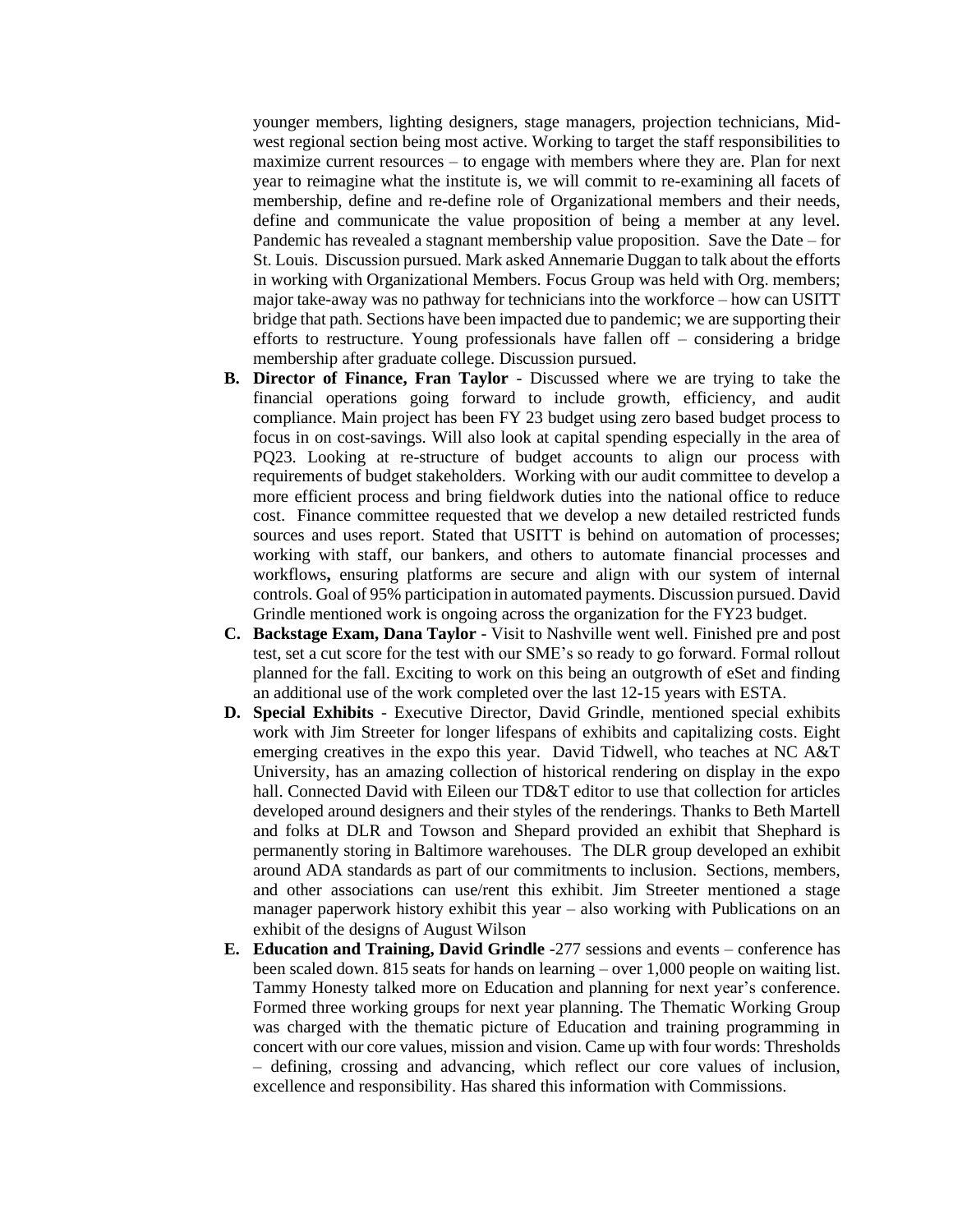younger members, lighting designers, stage managers, projection technicians, Midwest regional section being most active. Working to target the staff responsibilities to maximize current resources – to engage with members where they are. Plan for next year to reimagine what the institute is, we will commit to re-examining all facets of membership, define and re-define role of Organizational members and their needs, define and communicate the value proposition of being a member at any level. Pandemic has revealed a stagnant membership value proposition. Save the Date – for St. Louis. Discussion pursued. Mark asked Annemarie Duggan to talk about the efforts in working with Organizational Members. Focus Group was held with Org. members; major take-away was no pathway for technicians into the workforce – how can USITT bridge that path. Sections have been impacted due to pandemic; we are supporting their efforts to restructure. Young professionals have fallen off – considering a bridge membership after graduate college. Discussion pursued.

- **B. Director of Finance, Fran Taylor** Discussed where we are trying to take the financial operations going forward to include growth, efficiency, and audit compliance. Main project has been FY 23 budget using zero based budget process to focus in on cost-savings. Will also look at capital spending especially in the area of PQ23. Looking at re-structure of budget accounts to align our process with requirements of budget stakeholders. Working with our audit committee to develop a more efficient process and bring fieldwork duties into the national office to reduce cost. Finance committee requested that we develop a new detailed restricted funds sources and uses report. Stated that USITT is behind on automation of processes; working with staff, our bankers, and others to automate financial processes and workflows**,** ensuring platforms are secure and align with our system of internal controls. Goal of 95% participation in automated payments. Discussion pursued. David Grindle mentioned work is ongoing across the organization for the FY23 budget.
- **C. Backstage Exam, Dana Taylor** Visit to Nashville went well. Finished pre and post test, set a cut score for the test with our SME's so ready to go forward. Formal rollout planned for the fall. Exciting to work on this being an outgrowth of eSet and finding an additional use of the work completed over the last 12-15 years with ESTA.
- **D. Special Exhibits** Executive Director, David Grindle, mentioned special exhibits work with Jim Streeter for longer lifespans of exhibits and capitalizing costs. Eight emerging creatives in the expo this year. David Tidwell, who teaches at NC A&T University, has an amazing collection of historical rendering on display in the expo hall. Connected David with Eileen our TD&T editor to use that collection for articles developed around designers and their styles of the renderings. Thanks to Beth Martell and folks at DLR and Towson and Shepard provided an exhibit that Shephard is permanently storing in Baltimore warehouses. The DLR group developed an exhibit around ADA standards as part of our commitments to inclusion. Sections, members, and other associations can use/rent this exhibit. Jim Streeter mentioned a stage manager paperwork history exhibit this year – also working with Publications on an exhibit of the designs of August Wilson
- **E. Education and Training, David Grindle** -277 sessions and events conference has been scaled down. 815 seats for hands on learning – over 1,000 people on waiting list. Tammy Honesty talked more on Education and planning for next year's conference. Formed three working groups for next year planning. The Thematic Working Group was charged with the thematic picture of Education and training programming in concert with our core values, mission and vision. Came up with four words: Thresholds – defining, crossing and advancing, which reflect our core values of inclusion, excellence and responsibility. Has shared this information with Commissions.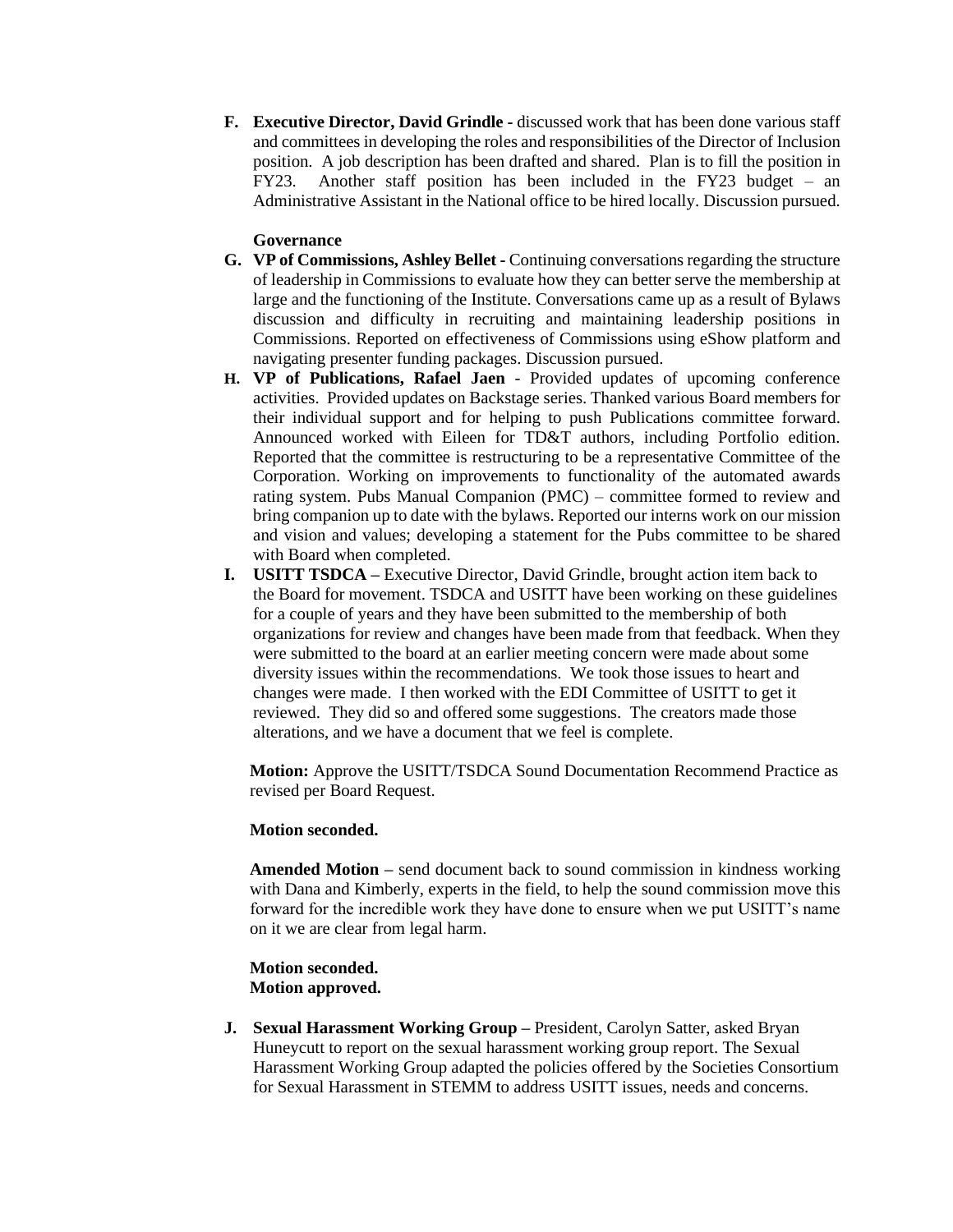**F. Executive Director, David Grindle -** discussed work that has been done various staff and committees in developing the roles and responsibilities of the Director of Inclusion position. A job description has been drafted and shared. Plan is to fill the position in FY23. Another staff position has been included in the FY23 budget – an Administrative Assistant in the National office to be hired locally. Discussion pursued.

# **Governance**

- **G. VP of Commissions, Ashley Bellet -** Continuing conversations regarding the structure of leadership in Commissions to evaluate how they can better serve the membership at large and the functioning of the Institute. Conversations came up as a result of Bylaws discussion and difficulty in recruiting and maintaining leadership positions in Commissions. Reported on effectiveness of Commissions using eShow platform and navigating presenter funding packages. Discussion pursued.
- **H. VP of Publications, Rafael Jaen** Provided updates of upcoming conference activities. Provided updates on Backstage series. Thanked various Board members for their individual support and for helping to push Publications committee forward. Announced worked with Eileen for TD&T authors, including Portfolio edition. Reported that the committee is restructuring to be a representative Committee of the Corporation. Working on improvements to functionality of the automated awards rating system. Pubs Manual Companion (PMC) – committee formed to review and bring companion up to date with the bylaws. Reported our interns work on our mission and vision and values; developing a statement for the Pubs committee to be shared with Board when completed.
- **I. USITT TSDCA –** Executive Director, David Grindle, brought action item back to the Board for movement. TSDCA and USITT have been working on these guidelines for a couple of years and they have been submitted to the membership of both organizations for review and changes have been made from that feedback. When they were submitted to the board at an earlier meeting concern were made about some diversity issues within the recommendations. We took those issues to heart and changes were made. I then worked with the EDI Committee of USITT to get it reviewed. They did so and offered some suggestions. The creators made those alterations, and we have a document that we feel is complete.

**Motion:** Approve the USITT/TSDCA Sound Documentation Recommend Practice as revised per Board Request.

### **Motion seconded.**

**Amended Motion –** send document back to sound commission in kindness working with Dana and Kimberly, experts in the field, to help the sound commission move this forward for the incredible work they have done to ensure when we put USITT's name on it we are clear from legal harm.

# **Motion seconded. Motion approved.**

**J. Sexual Harassment Working Group –** President, Carolyn Satter, asked Bryan Huneycutt to report on the sexual harassment working group report. The Sexual Harassment Working Group adapted the policies offered by the Societies Consortium for Sexual Harassment in STEMM to address USITT issues, needs and concerns.